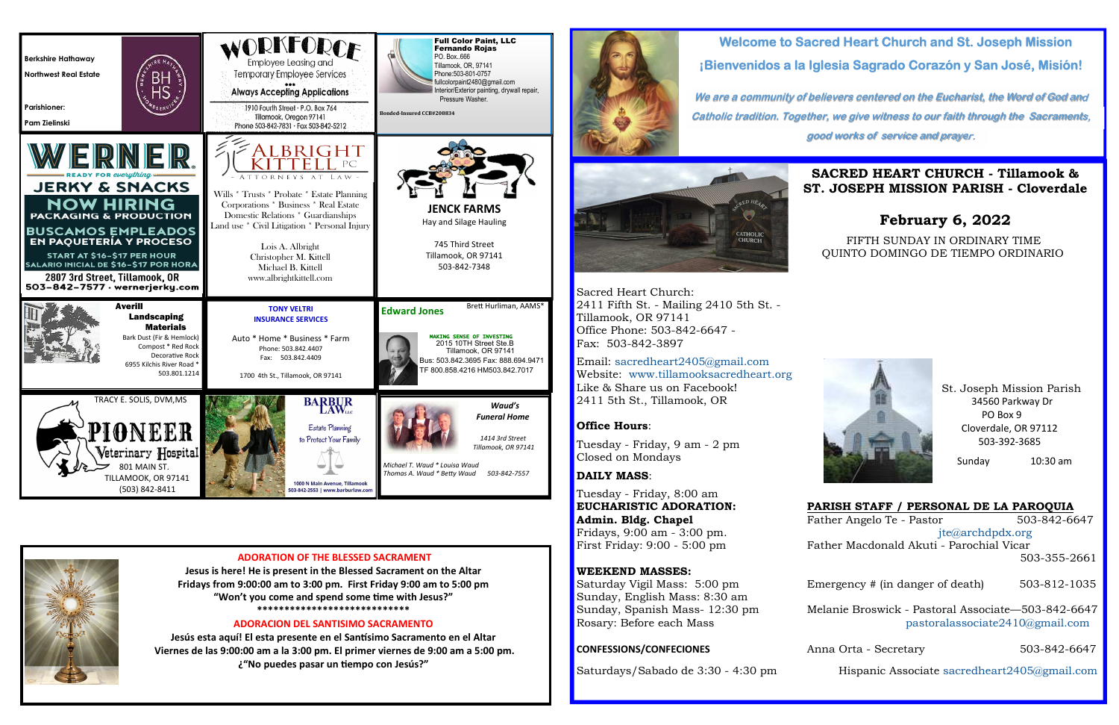# **Welcome to Sacred Heart Church and St. Joseph Mission¡Bienvenidos a la Iglesia Sagrado Corazón y San José, Misión!**

**We are a community of believers centered on the Eucharist, the Word of God and Catholic tradition. Together, we give witness to our faith through the Sacraments, good works of service and prayer.**



## **SACRED HEART CHURCH - Tillamook & ST. JOSEPH MISSION PARISH - Cloverdale**

## **February 6, 2022**

### FIFTH SUNDAY IN ORDINARY TIME QUINTO DOMINGO DE TIEMPO ORDINARIO



Sacred Heart Church: 2411 Fifth St. - Mailing 2410 5th St. - Tillamook, OR 97141 Office Phone: 503-842-6647 - Fax: 503-842-3897

 Saturday Vigil Mass: 5:00 pmSunday, English Mass: 8:30 am Sunday, Spanish Mass-12:30 pm

### **CONFESSIONS/CONFECIONES** Anna Orta - Secretary 503-842-6647



**PARISH STAFF / PERSONAL DE LA PAROQUIA** 503-842-6647 Fridays, 9:00 am - 3:00 pm. jte@archdpdx.org Father Macdonald Akuti - Parochial Vicar 503-355-2661Emergency # (in danger of death) 503-812-1035

Melanie Broswick - Pastoral Associate—503-842-6647 Rosary: Before each Mass pastoralassociate2410@gmail.com

Email: sacredheart2405@gmail.com Website: www.tillamooksacredheart.orgLike & Share us on Facebook! 2411 5th St., Tillamook, OR

## **Office Hours**:

Tuesday - Friday, 9 am - 2 pm Closed on Mondays

## **DAILY MASS**:

Tuesday - Friday, 8:00 am**EUCHARISTIC ADORATION: Admin. Bldg. Chapel** Father Angelo Te - Pastor 503-842-6647 First Friday: 9:00 - 5:00 pm

## **WEEKEND MASSES:**

Saturdays/Sabado de 3:30 - 4:30 pm Hispanic Associate sacredheart2405@gmail.com

 St. Joseph Mission Parish 34560 Parkway Dr PO Box 9 Cloverdale, OR 97112 503-392-3685

Sunday 10:30 am

Jesús esta aquí! El esta presente en el Santísimo Sacramento en el Altar  **Viernes de las 9:00:00 am a la 3:00 pm. El primer viernes de 9:00 am a 5:00 pm. ¿"No puedes pasar un 3empo con Jesús?"** 



| <b>Berkshire Hathaway</b><br><b>Northwest Real Estate</b><br><b>Parishioner:</b><br>Pam Zielinski                                                                                                                                                                                                     |                                                                                                                                                                             | <b>ORKFORCF</b><br>Employee Leasing and<br>Temporary Employee Services<br><b>Always Accepting Applications</b><br>1910 Fourth Street · P.O. Box 764<br>Tillamook, Oregon 97141<br>Phone 503-842-7831 · Fax 503-842-5212                                                                                             | <b>Full Color Paint, LLC</b><br><b>Fernando Rojas</b><br>PO. Box666<br>Tillamook, OR, 97141<br>Phone: 503-801-0757<br>fullcolorpaint2480@gmail.com<br>Interior/Exterior painting, drywall repair,<br>Pressure Washer.<br>Bonded-Insured CCB#208834 |
|-------------------------------------------------------------------------------------------------------------------------------------------------------------------------------------------------------------------------------------------------------------------------------------------------------|-----------------------------------------------------------------------------------------------------------------------------------------------------------------------------|---------------------------------------------------------------------------------------------------------------------------------------------------------------------------------------------------------------------------------------------------------------------------------------------------------------------|----------------------------------------------------------------------------------------------------------------------------------------------------------------------------------------------------------------------------------------------------|
| <b>JERKY &amp; SNACKS</b><br><b>NOW HIRING</b><br><b>PACKAGING &amp; PRODUCTION</b><br><b>BUSCAMOS EMPLEADOS</b><br>EN PAQUETERÍA Y PROCESO<br><b>START AT \$16-\$17 PER HOUR</b><br><b>SALARIO INICIAL DE \$16-\$17 POR HORA</b><br>2807 3rd Street, Tillamook, OR<br>503-842-7577 · wernerjerky.com | VERNER                                                                                                                                                                      | <b>BRIGHT</b><br>ORNEYS<br>A T<br>LAW-<br>Wills * Trusts * Probate * Estate Planning<br>Corporations * Business * Real Estate<br>Domestic Relations * Guardianships<br>Land use * Civil Litigation * Personal Injury<br>Lois A. Albright<br>Christopher M. Kittell<br>Michael B. Kittell<br>www.albrightkittell.com | <b>JENCK FARMS</b><br>Hay and Silage Hauling<br>745 Third Street<br>Tillamook, OR 97141<br>503-842-7348                                                                                                                                            |
|                                                                                                                                                                                                                                                                                                       | <b>Averill</b><br><b>Landscaping</b><br><b>Materials</b><br>Bark Dust (Fir & Hemlock)<br>Compost * Red Rock<br>Decorative Rock<br>6955 Kilchis River Road *<br>503.801.1214 | <b>TONY VELTRI</b><br><b>INSURANCE SERVICES</b><br>Auto * Home * Business * Farm<br>Phone: 503.842.4407<br>Fax: 503.842.4409<br>1700 4th St., Tillamook, OR 97141                                                                                                                                                   | Brett Hurliman, AAMS*<br><b>Edward Jones</b><br>MAKING SENSE OF INVESTING<br>2015 10TH Street Ste.B<br>Tillamook, OR 97141<br>Bus: 503.842.3695 Fax: 888.694.9471<br>TF 800.858.4216 HM503.842.7017                                                |
|                                                                                                                                                                                                                                                                                                       | TRACY E. SOLIS, DVM, MS<br>PIONEER<br>Veterinary <b>Hospital</b><br>801 MAIN ST.<br>TILLAMOOK, OR 97141<br>(503) 842-8411                                                   | <b>BARBUR</b><br>LAW <sub>LLC</sub><br><b>Estate Planning</b><br>to Protect Your Family<br>1000 N Main Avenue, Tillamook<br>503-842-2553   www.barburlaw.com                                                                                                                                                        | Waud's<br><b>Funeral Home</b><br>1414 3rd Street<br>Tillamook, OR 97141<br>Michael T. Waud * Louisa Waud<br>Thomas A. Waud * Betty Waud<br>503-842-7557                                                                                            |



**Jesus is here! He is present in the Blessed Sacrament on the Altar Fridays from 9:00:00 am to 3:00 pm. First Friday 9:00 am to 5:00 pm** "Won't you come and spend some time with Jesus?" **\*\*\*\*\*\*\*\*\*\*\*\*\*\*\*\*\*\*\*\*\*\*\*\*\*\*\*\*** 

### **ADORACION DEL SANTISIMO SACRAMENTO**